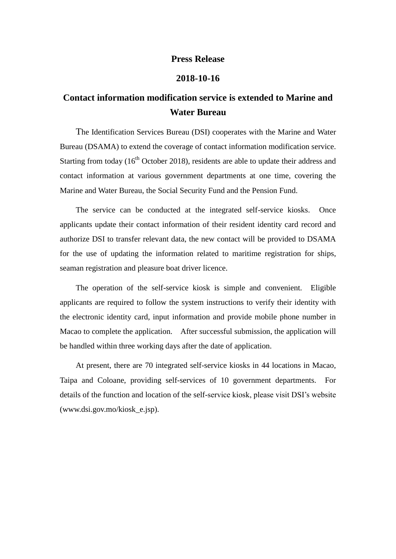## **Press Release**

## **2018-10-16**

## **Contact information modification service is extended to Marine and Water Bureau**

The Identification Services Bureau (DSI) cooperates with the Marine and Water Bureau (DSAMA) to extend the coverage of contact information modification service. Starting from today  $(16<sup>th</sup> October 2018)$ , residents are able to update their address and contact information at various government departments at one time, covering the Marine and Water Bureau, the Social Security Fund and the Pension Fund.

The service can be conducted at the integrated self-service kiosks. Once applicants update their contact information of their resident identity card record and authorize DSI to transfer relevant data, the new contact will be provided to DSAMA for the use of updating the information related to maritime registration for ships, seaman registration and pleasure boat driver licence.

The operation of the self-service kiosk is simple and convenient. Eligible applicants are required to follow the system instructions to verify their identity with the electronic identity card, input information and provide mobile phone number in Macao to complete the application. After successful submission, the application will be handled within three working days after the date of application.

At present, there are 70 integrated self-service kiosks in 44 locations in Macao, Taipa and Coloane, providing self-services of 10 government departments. For details of the function and location of the self-service kiosk, please visit DSI's website (www.dsi.gov.mo/kiosk\_e.jsp).